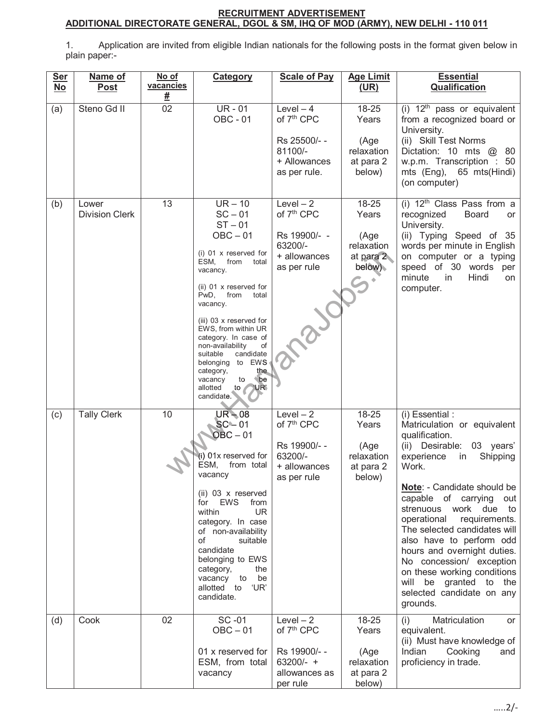## **RECRUITMENT ADVERTISEMENT ADDITIONAL DIRECTORATE GENERAL, DGOL & SM, IHQ OF MOD (ARMY), NEW DELHI - 110 011**

1. Application are invited from eligible Indian nationals for the following posts in the format given below in plain paper:-

| <b>Ser</b><br>$No$ | Name of<br>Post                | No of<br>vacancies<br><u>#</u> | <b>Category</b>                                                                                                                                                                                                                                                                                                                                                                                                                      | <b>Scale of Pay</b>                                                                              | <b>Age Limit</b><br>(UR)                                     | <b>Essential</b><br><b>Qualification</b>                                                                                                                                                                                                                                                                                                                                                                                                                                                 |
|--------------------|--------------------------------|--------------------------------|--------------------------------------------------------------------------------------------------------------------------------------------------------------------------------------------------------------------------------------------------------------------------------------------------------------------------------------------------------------------------------------------------------------------------------------|--------------------------------------------------------------------------------------------------|--------------------------------------------------------------|------------------------------------------------------------------------------------------------------------------------------------------------------------------------------------------------------------------------------------------------------------------------------------------------------------------------------------------------------------------------------------------------------------------------------------------------------------------------------------------|
| (a)                | Steno Gd <sub>II</sub>         | $\overline{02}$                | <b>UR-01</b><br><b>OBC - 01</b>                                                                                                                                                                                                                                                                                                                                                                                                      | $Level-4$<br>of 7 <sup>th</sup> CPC<br>Rs 25500/--<br>81100/-<br>+ Allowances<br>as per rule.    | 18-25<br>Years<br>(Age<br>relaxation<br>at para 2<br>below)  | (i) $12th$ pass or equivalent<br>from a recognized board or<br>University.<br>(ii) Skill Test Norms<br>Dictation: 10 mts @ 80<br>w.p.m. Transcription : 50<br>mts (Eng), 65 mts (Hindi)<br>(on computer)                                                                                                                                                                                                                                                                                 |
| (b)                | Lower<br><b>Division Clerk</b> | 13                             | $UR - 10$<br>$SC - 01$<br>$ST - 01$<br>$OBC - 01$<br>(i) $01 \times$ reserved for<br>ESM,<br>from<br>total<br>vacancy.<br>(ii) 01 x reserved for<br>PwD,<br>from<br>total<br>vacancy.<br>(iii) 03 x reserved for<br>EWS, from within UR<br>category. In case of<br>non-availability<br>of<br>suitable<br>candidate<br>to EWS<br>belonging<br>category,<br>the.<br><i>be</i><br>vacancy<br>to<br>allotted<br>to<br>'UR'<br>candidate. | $Level-2$<br>of 7 <sup>th</sup> CPC<br>Rs 19900/- -<br>63200/-<br>+ allowances<br>as per rule    | 18-25<br>Years<br>(Age<br>relaxation<br>at para 2<br>below). | (i) $12th$ Class Pass from a<br>recognized<br>Board<br>or<br>University.<br>(ii) Typing Speed of 35<br>words per minute in English<br>on computer or a typing<br>speed of 30 words<br>per<br>minute<br>in<br>Hindi<br>on<br>computer.                                                                                                                                                                                                                                                    |
| (c)                | <b>Tally Clerk</b>             | 10                             | $UR - 08$<br>$SC - 01$<br>$OBC - 01$<br>(i) 01x reserved for<br>ESM,<br>from total<br>vacancy<br>$(ii)$ 03 x reserved<br><b>EWS</b><br>for<br>from<br><b>UR</b><br>within<br>category. In case<br>of non-availability<br>of<br>suitable<br>candidate<br>belonging to EWS<br>the<br>category,<br>vacancy to<br>be<br>'UR'<br>allotted to<br>candidate.                                                                                | $Level - 2$<br>of 7 <sup>th</sup> CPC<br>Rs 19900/--<br>63200/-<br>+ allowances<br>as per rule   | 18-25<br>Years<br>(Age<br>relaxation<br>at para 2<br>below)  | (i) Essential :<br>Matriculation or equivalent<br>qualification.<br>(ii) Desirable:<br>03 years'<br>experience<br>Shipping<br>in<br>Work.<br>Note: - Candidate should be<br>capable of carrying<br>out<br>strenuous work due to<br>operational<br>requirements.<br>The selected candidates will<br>also have to perform odd<br>hours and overnight duties.<br>No concession/ exception<br>on these working conditions<br>will be granted to the<br>selected candidate on any<br>grounds. |
| (d)                | Cook                           | 02                             | SC-01<br>$OBC - 01$<br>01 x reserved for<br>ESM, from total<br>vacancy                                                                                                                                                                                                                                                                                                                                                               | $Level - 2$<br>of 7 <sup>th</sup> CPC<br>Rs 19900/--<br>$63200/- +$<br>allowances as<br>per rule | 18-25<br>Years<br>(Age<br>relaxation<br>at para 2<br>below)  | Matriculation<br>(i)<br>or<br>equivalent.<br>(ii) Must have knowledge of<br>Indian<br>Cooking<br>and<br>proficiency in trade.                                                                                                                                                                                                                                                                                                                                                            |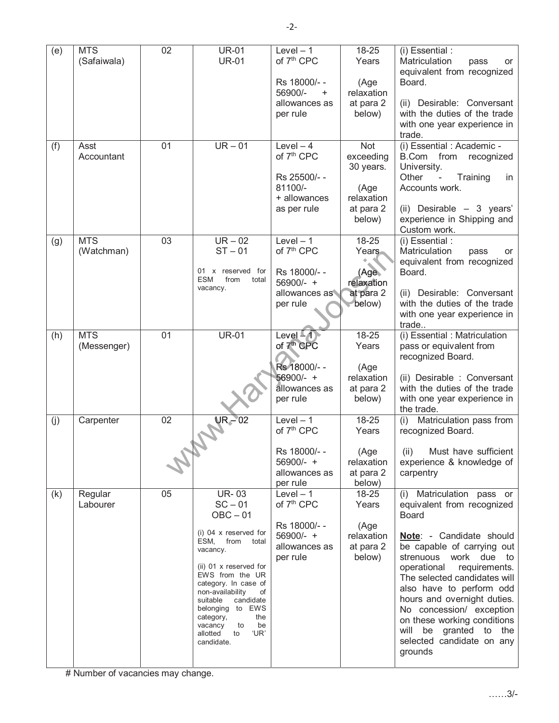| (e) | <b>MTS</b>  | $\overline{02}$ | <b>UR-01</b>                                   | $Level - 1$                | 18-25                   | (i) Essential :                                            |
|-----|-------------|-----------------|------------------------------------------------|----------------------------|-------------------------|------------------------------------------------------------|
|     | (Safaiwala) |                 | <b>UR-01</b>                                   | of 7 <sup>th</sup> CPC     | Years                   | Matriculation<br>pass<br>or<br>equivalent from recognized  |
|     |             |                 |                                                | Rs 18000/--                | (Age                    | Board.                                                     |
|     |             |                 |                                                | 56900/-<br>$\ddot{}$       | relaxation              |                                                            |
|     |             |                 |                                                | allowances as<br>per rule  | at para 2<br>below)     | (ii) Desirable: Conversant<br>with the duties of the trade |
|     |             |                 |                                                |                            |                         | with one year experience in                                |
|     | Asst        | 01              | $UR - 01$                                      | Level $-4$                 | <b>Not</b>              | trade.<br>(i) Essential : Academic -                       |
| (f) | Accountant  |                 |                                                | of 7 <sup>th</sup> CPC     | exceeding               | B.Com from recognized                                      |
|     |             |                 |                                                |                            | 30 years.               | University.                                                |
|     |             |                 |                                                | Rs 25500/--<br>81100/-     | (Age                    | Other<br>Training<br>in<br>Accounts work.                  |
|     |             |                 |                                                | + allowances               | relaxation              |                                                            |
|     |             |                 |                                                | as per rule                | at para 2               | (ii) Desirable $-3$ years'                                 |
|     |             |                 |                                                |                            | below)                  | experience in Shipping and<br>Custom work.                 |
| (g) | <b>MTS</b>  | 03              | $UR - 02$                                      | Level $-1$                 | 18-25                   | (i) Essential :                                            |
|     | (Watchman)  |                 | $ST - 01$                                      | of 7 <sup>th</sup> CPC     | Years                   | Matriculation<br>pass<br>or<br>equivalent from recognized  |
|     |             |                 | 01 x reserved for<br>ESM<br>from<br>total      | Rs 18000/--                | (Age)                   | Board.                                                     |
|     |             |                 | vacancy.                                       | 56900/- +<br>allowances as | relaxation<br>at para 2 | (ii) Desirable: Conversant                                 |
|     |             |                 |                                                | per rule                   | below)                  | with the duties of the trade                               |
|     |             |                 |                                                |                            |                         | with one year experience in                                |
| (h) | <b>MTS</b>  | 01              | <b>UR-01</b>                                   | Level $-4$                 | 18-25                   | trade<br>$(i)$ Essential : Matriculation                   |
|     | (Messenger) |                 |                                                | of 7 <sup>th</sup> CPC     | Years                   | pass or equivalent from                                    |
|     |             |                 |                                                | Rs 18000/--                | (Age                    | recognized Board.                                          |
|     |             |                 |                                                | 56900/- +                  | relaxation              | (ii) Desirable : Conversant                                |
|     |             |                 |                                                | allowances as              | at para 2               | with the duties of the trade                               |
|     |             |                 |                                                | per rule                   | below)                  | with one year experience in<br>the trade.                  |
| (j) | Carpenter   | 02              | $UR - 02$                                      | $Level - 1$                | 18-25                   | Matriculation pass from<br>(i)                             |
|     |             |                 |                                                | of 7 <sup>th</sup> CPC     | Years                   | recognized Board.                                          |
|     |             |                 |                                                | Rs 18000/--                | (Age                    | (ii) Must have sufficient                                  |
|     |             |                 |                                                | 56900/- +<br>allowances as | relaxation              | experience & knowledge of                                  |
|     |             |                 |                                                | per rule                   | at para 2<br>below)     | carpentry                                                  |
| (k) | Regular     | 05              | <b>UR-03</b>                                   | Level $-1$                 | 18-25                   | (i) Matriculation pass or                                  |
|     | Labourer    |                 | $SC - 01$<br>$OBC - 01$                        | of 7 <sup>th</sup> CPC     | Years                   | equivalent from recognized<br><b>Board</b>                 |
|     |             |                 | (i) $04 \times$ reserved for                   | Rs 18000/--                | (Age                    |                                                            |
|     |             |                 | ESM, from<br>total                             | 56900/- +<br>allowances as | relaxation<br>at para 2 | Note: - Candidate should<br>be capable of carrying out     |
|     |             |                 | vacancy.                                       | per rule                   | below)                  | strenuous work due to                                      |
|     |             |                 | (ii) 01 x reserved for<br>EWS from the UR      |                            |                         | operational requirements.                                  |
|     |             |                 | category. In case of<br>non-availability<br>of |                            |                         | The selected candidates will<br>also have to perform odd   |
|     |             |                 | suitable<br>candidate                          |                            |                         | hours and overnight duties.                                |
|     |             |                 | belonging to EWS<br>the<br>category,           |                            |                         | No concession/ exception<br>on these working conditions    |
|     |             |                 | vacancy<br>to<br>be<br>'UR'<br>allotted<br>to  |                            |                         | be granted to the<br>will                                  |
|     |             |                 | candidate.                                     |                            |                         | selected candidate on any<br>grounds                       |
|     |             |                 |                                                |                            |                         |                                                            |

# Number of vacancies may change.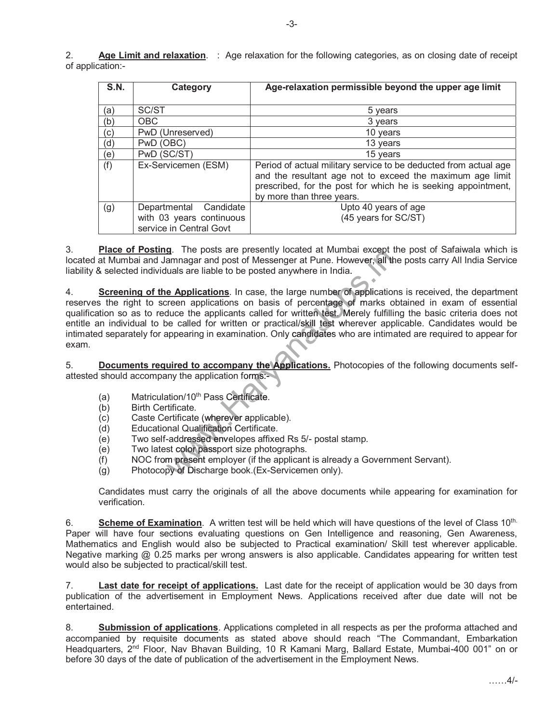| <b>S.N.</b> | Category                                                                      | Age-relaxation permissible beyond the upper age limit                                                                                                                                                                       |
|-------------|-------------------------------------------------------------------------------|-----------------------------------------------------------------------------------------------------------------------------------------------------------------------------------------------------------------------------|
| (a)         | SC/ST                                                                         | 5 years                                                                                                                                                                                                                     |
| (b)         | <b>OBC</b>                                                                    | 3 years                                                                                                                                                                                                                     |
| (c)         | PwD (Unreserved)                                                              | 10 years                                                                                                                                                                                                                    |
| (d)         | PwD (OBC)                                                                     | 13 years                                                                                                                                                                                                                    |
| (e)         | PwD (SC/ST)                                                                   | 15 years                                                                                                                                                                                                                    |
| (f)         | Ex-Servicemen (ESM)                                                           | Period of actual military service to be deducted from actual age<br>and the resultant age not to exceed the maximum age limit<br>prescribed, for the post for which he is seeking appointment,<br>by more than three years. |
| (g)         | Departmental Candidate<br>with 03 years continuous<br>service in Central Govt | Upto 40 years of age<br>(45 years for SC/ST)                                                                                                                                                                                |

3. **Place of Posting**. The posts are presently located at Mumbai except the post of Safaiwala which is located at Mumbai and Jamnagar and post of Messenger at Pune. However, all the posts carry All India Service liability & selected individuals are liable to be posted anywhere in India.

4. **Screening of the Applications**. In case, the large number of applications is received, the department a.mber applic app reserves the right to screen applications on basis of percentage of marks obtained in exam of essential qualification so as to reduce the applicants called for written test. Merely fulfilling the basic criteria does not entitle an individual to be called for written or practical/skill test wherever applicable. Candidates would be intimated separately for appearing in examination. Only candidates who are intimated are required to appear for exam. **g**. The posts are presently located at Mumbai except t<br>amnagar and post of Messenger at Pune. However, all the<br>uals are liable to be posted anywhere in India.<br> **e Applications**. In case, the large number of application<br>
r

5. **Documents required to accompany the Applications.** Photocopies of the following documents selfattested should accompany the application forms: he Appli<br>s:-

- (a) Matriculation/10<sup>th</sup> Pass Certificate.
- (b) Birth Certificate.
- (c) Caste Certificate (wherever applicable).
- (d) Educational Qualification Certificate.
- (e) Two self-addressed envelopes affixed Rs 5/- postal stamp.
- (e) Two latest color passport size photographs.
- (f) NOC from present employer (if the applicant is already a Government Servant).
- (g) Photocopy of Discharge book. (Ex-Servicemen only).

Candidates must carry the originals of all the above documents while appearing for examination for verification.

6. **Scheme of Examination**. A written test will be held which will have questions of the level of Class 10th. Paper will have four sections evaluating questions on Gen Intelligence and reasoning, Gen Awareness, Mathematics and English would also be subjected to Practical examination/ Skill test wherever applicable. Negative marking @ 0.25 marks per wrong answers is also applicable. Candidates appearing for written test would also be subjected to practical/skill test.

7. **Last date for receipt of applications.** Last date for the receipt of application would be 30 days from publication of the advertisement in Employment News. Applications received after due date will not be entertained.

8. **Submission of applications**. Applications completed in all respects as per the proforma attached and accompanied by requisite documents as stated above should reach "The Commandant, Embarkation Headquarters, 2<sup>nd</sup> Floor, Nav Bhavan Building, 10 R Kamani Marg, Ballard Estate, Mumbai-400 001" on or before 30 days of the date of publication of the advertisement in the Employment News.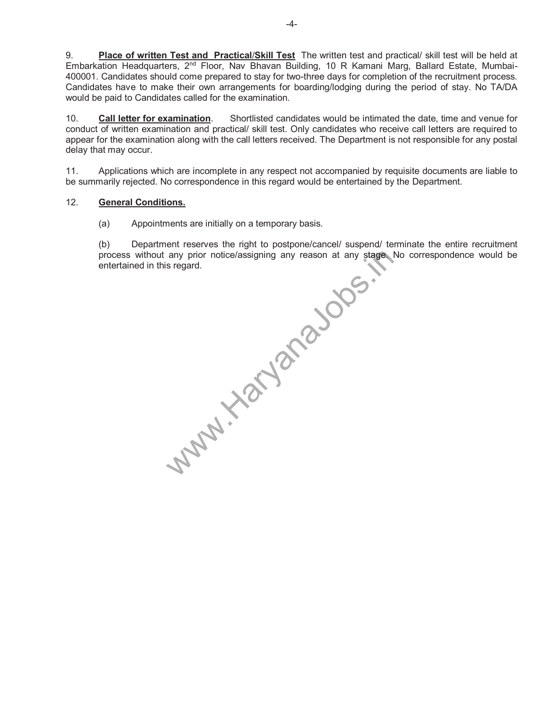9. **Place of written Test and Practical**/**Skill Test** The written test and practical/ skill test will be held at Embarkation Headquarters, 2<sup>nd</sup> Floor, Nav Bhavan Building, 10 R Kamani Marg, Ballard Estate, Mumbai-400001. Candidates should come prepared to stay for two-three days for completion of the recruitment process. Candidates have to make their own arrangements for boarding/lodging during the period of stay. No TA/DA would be paid to Candidates called for the examination.

10. **Call letter for examination**. Shortlisted candidates would be intimated the date, time and venue for conduct of written examination and practical/ skill test. Only candidates who receive call letters are required to appear for the examination along with the call letters received. The Department is not responsible for any postal delay that may occur.

11. Applications which are incomplete in any respect not accompanied by requisite documents are liable to be summarily rejected. No correspondence in this regard would be entertained by the Department.

## 12. **General Conditions.**

(a) Appointments are initially on a temporary basis.

(b) Department reserves the right to postpone/cancel/ suspend/ terminate the entire recruitment process without any prior notice/assigning any reason at any stage. No correspondence would be

entertained in this regard.